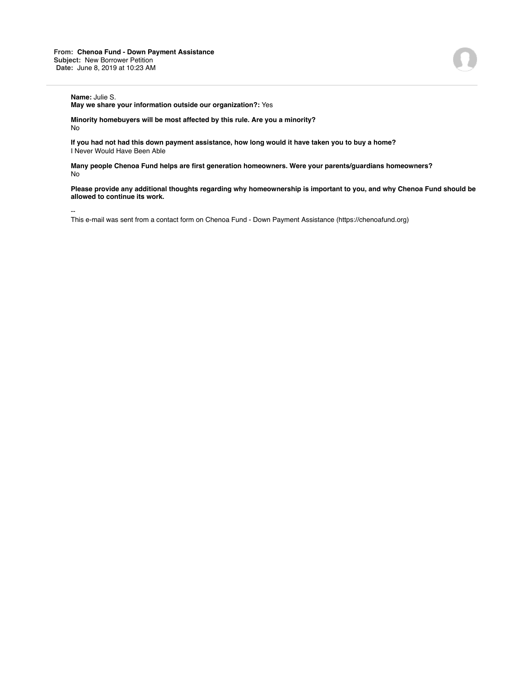## **Name:** Julie S.

**May we share your information outside our organization?:** Yes

**Minority homebuyers will be most affected by this rule. Are you a minority?** No

**If you had not had this down payment assistance, how long would it have taken you to buy a home?** I Never Would Have Been Able

**Many people Chenoa Fund helps are first generation homeowners. Were your parents/guardians homeowners?** No

**Please provide any additional thoughts regarding why homeownership is important to you, and why Chenoa Fund should be allowed to continue its work.**

--

This e-mail was sent from a contact form on Chenoa Fund - Down Payment Assistance (https://chenoafund.org)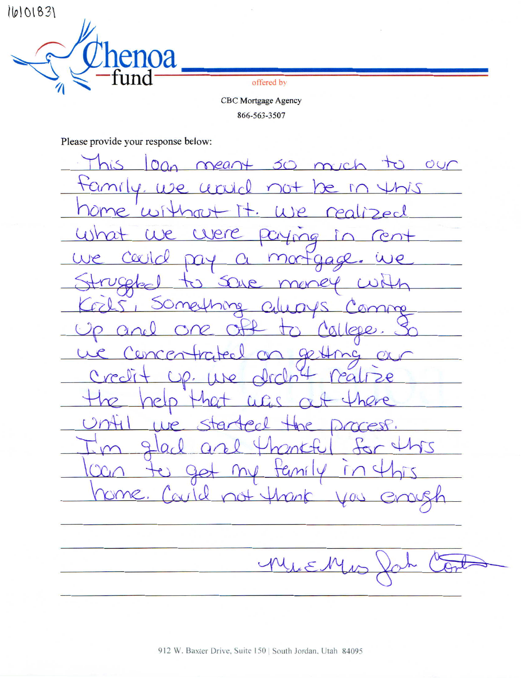16101831



offered by

**CBC** Mortgage Agency 866-563-3507

Please provide your response below:

Oan meant so much to  $\leq$ OUC tamily, use  $u\,rad$ Lhis  $\bigcap_{0}$  $\epsilon$  in  $u$ e reali  $Pecl$ me.  $\omega$  $\pi$ usha **Jere** e C  $1009$  $\infty$ mortgage.  $(\lambda)$  $\overline{CQ}$ we UCOL  $\mathcal{X}$ UP men SOMes hine  $O_{\mathcal{A}}$  $\Omega$ gmm  $100Q$ .  $\alpha$  $uncen$  $90 +$  $\overline{LC}$  $\bigcap$ Credi  $20.11$  $\sqrt{2}$ ra  $\mathcal{P}$  $207H$ ol  $\triangleright$ ar p PRP 9  $\sum$ tal  $(n)$ Taní OMR.  $20+1$  $\sqrt{}$  $C_{\rm M}$  $M$ MiEl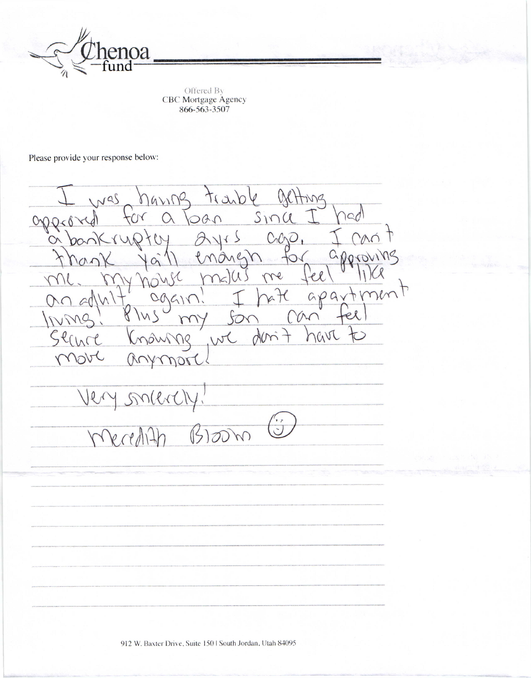

Offered By<br>CBC Mortgage Agency<br>866-563-3507

Please provide your response below:

narina trasble  $N<sub>4</sub>$  $M<sub>2</sub>$  $SinC$  $\alpha$  $OAN$  $\sqrt{}$ on  $\langle \rangle$  $M$  $C<sub>1</sub>CD$ 6 approv  $\bigcirc$ me  $\ell$  $\bigcap$ mt  $appax$ kt A V M Y den ? havi we V  $(X)$ nori smere  $\mathcal{Q}$  $\beta$  $\overline{op}$  $\sqrt{}$ 

912 W. Baxter Drive, Suite 150 | South Jordan, Utah 84095